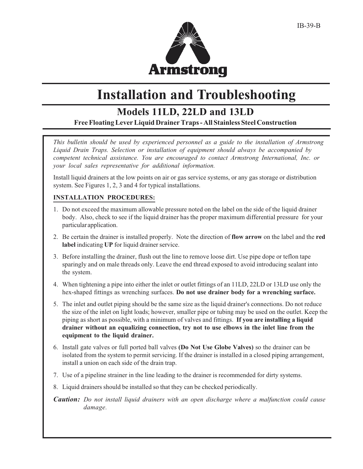

# **Installation and Troubleshooting**

### **Models 11LD, 22LD and 13LD**

**Free Floating Lever Liquid Drainer Traps - All Stainless Steel Construction**

*This bulletin should be used by experienced personnel as a guide to the installation of Armstrong Liquid Drain Traps. Selection or installation of equipment should always be accompanied by competent technical assistance. You are encouraged to contact Armstrong International, Inc. or your local sales representative for additional information.*

Install liquid drainers at the low points on air or gas service systems, or any gas storage or distribution system. See Figures 1, 2, 3 and 4 for typical installations.

### **INSTALLATION PROCEDURES:**

- 1. Do not exceed the maximum allowable pressure noted on the label on the side of the liquid drainer body. Also, check to see if the liquid drainer has the proper maximum differential pressure for your particular application.
- 2. Be certain the drainer is installed properly. Note the direction of **flow arrow** on the label and the **red label** indicating **UP** for liquid drainer service.
- 3. Before installing the drainer, flush out the line to remove loose dirt. Use pipe dope or teflon tape sparingly and on male threads only. Leave the end thread exposed to avoid introducing sealant into the system.
- 4. When tightening a pipe into either the inlet or outlet fittings of an 11LD, 22LD or 13LD use only the hex-shaped fittings as wrenching surfaces. **Do not use drainer body for a wrenching surface.**
- 5. The inlet and outlet piping should be the same size as the liquid drainer's connections. Do not reduce the size of the inlet on light loads; however, smaller pipe or tubing may be used on the outlet. Keep the piping as short as possible, with a minimum of valves and fittings. **If you are installing a liquid drainer without an equalizing connection, try not to use elbows in the inlet line from the equipment to the liquid drainer.**
- 6. Install gate valves or full ported ball valves **(Do Not Use Globe Valves)** so the drainer can be isolated from the system to permit servicing. If the drainer is installed in a closed piping arrangement, install a union on each side of the drain trap.
- 7. Use of a pipeline strainer in the line leading to the drainer is recommended for dirty systems.
- 8. Liquid drainers should be installed so that they can be checked periodically.
- *Caution: Do not install liquid drainers with an open discharge where a malfunction could cause damage.*